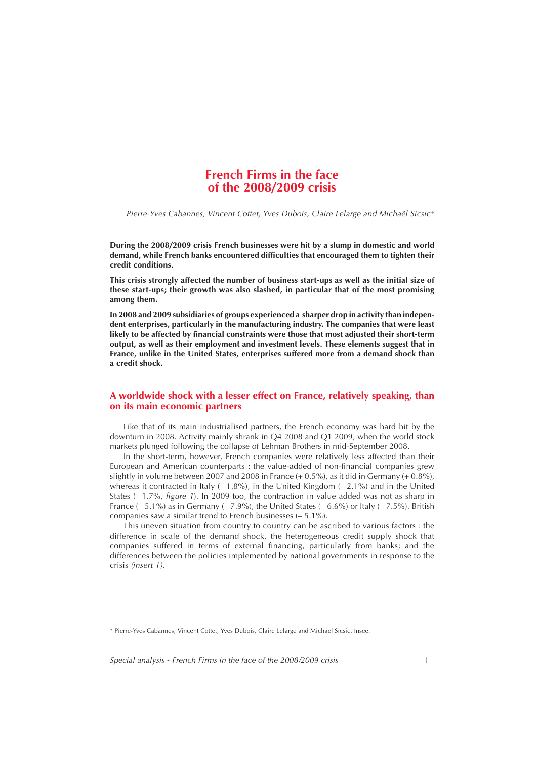# **French Firms in the face of the 2008/2009 crisis**

*Pierre-Yves Cabannes, Vincent Cottet, Yves Dubois, Claire Lelarge and Michaël Sicsic\**

**During the 2008/2009 crisis French businesses were hit by a slump in domestic and world demand, while French banks encountered difficulties that encouraged them to tighten their credit conditions.**

**This crisis strongly affected the number of business start-ups as well as the initial size of these start-ups; their growth was also slashed, in particular that of the most promising among them.**

**In 2008 and 2009 subsidiaries of groups experienced a sharper drop in activity than independent enterprises, particularly in the manufacturing industry. The companies that were least likely to be affected by financial constraints were those that most adjusted their short-term output, as well as their employment and investment levels. These elements suggest that in France, unlike in the United States, enterprises suffered more from a demand shock than a credit shock.**

# **A worldwide shock with a lesser effect on France, relatively speaking, than on its main economic partners**

Like that of its main industrialised partners, the French economy was hard hit by the downturn in 2008. Activity mainly shrank in Q4 2008 and Q1 2009, when the world stock markets plunged following the collapse of Lehman Brothers in mid-September 2008.

In the short-term, however, French companies were relatively less affected than their European and American counterparts : the value-added of non-financial companies grew slightly in volume between 2007 and 2008 in France  $(+ 0.5\%)$ , as it did in Germany  $(+ 0.8\%)$ , whereas it contracted in Italy  $(-1.8\%)$ , in the United Kingdom  $(-2.1\%)$  and in the United States (– 1.7%, *figure 1*). In 2009 too, the contraction in value added was not as sharp in France  $(-5.1\%)$  as in Germany  $(-7.9\%)$ , the United States  $(-6.6\%)$  or Italy  $(-7.5\%)$ . British companies saw a similar trend to French businesses (– 5.1%).

This uneven situation from country to country can be ascribed to various factors : the difference in scale of the demand shock, the heterogeneous credit supply shock that companies suffered in terms of external financing, particularly from banks; and the differences between the policies implemented by national governments in response to the crisis *(insert 1)*.

<sup>\*</sup> Pierre-Yves Cabannes, Vincent Cottet, Yves Dubois, Claire Lelarge and Michaël Sicsic, Insee.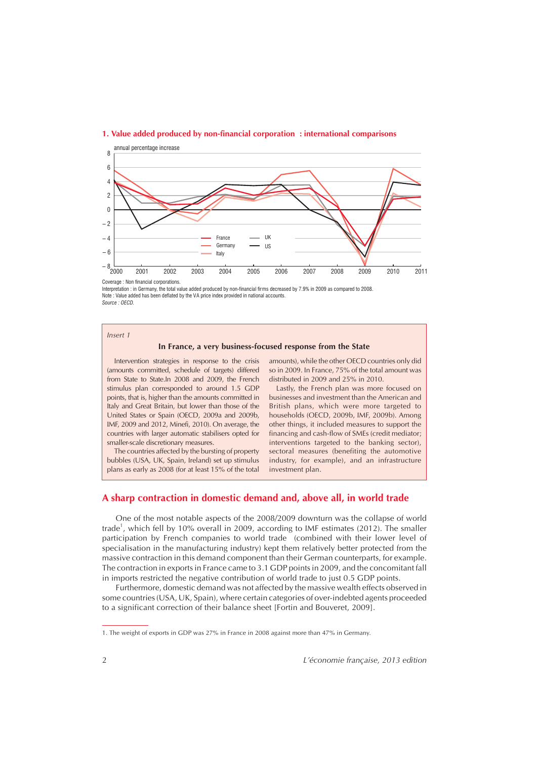

#### **1. Value added produced by non-financial corporation : international comparisons**

Interpretation : in Germany, the total value added produced by non-financial firms decreased by 7.9% in 2009 as compared to 2008. Note : Value added has been deflated by the VA price index provided in national accounts. *Source : OECD.*

#### *Insert 1*

#### **In France, a very business-focused response from the State**

Intervention strategies in response to the crisis (amounts committed, schedule of targets) differed from State to State.In 2008 and 2009, the French stimulus plan corresponded to around 1.5 GDP points, that is, higher than the amounts committed in Italy and Great Britain, but lower than those of the United States or Spain (OECD, 2009a and 2009b, IMF, 2009 and 2012, Minefi, 2010). On average, the countries with larger automatic stabilisers opted for smaller-scale discretionary measures.

The countries affected by the bursting of property bubbles (USA, UK, Spain, Ireland) set up stimulus plans as early as 2008 (for at least 15% of the total amounts), while the other OECD countries only did so in 2009. In France, 75% of the total amount was distributed in 2009 and 25% in 2010.

Lastly, the French plan was more focused on businesses and investment than the American and British plans, which were more targeted to households (OECD, 2009b, IMF, 2009b). Among other things, it included measures to support the financing and cash-flow of SMEs (credit mediator; interventions targeted to the banking sector), sectoral measures (benefiting the automotive industry, for example), and an infrastructure investment plan.

# **A sharp contraction in domestic demand and, above all, in world trade**

One of the most notable aspects of the 2008/2009 downturn was the collapse of world trade<sup>1</sup>, which fell by 10% overall in 2009, according to IMF estimates (2012). The smaller participation by French companies to world trade (combined with their lower level of specialisation in the manufacturing industry) kept them relatively better protected from the massive contraction in this demand component than their German counterparts, for example. The contraction in exports in France came to 3.1 GDP points in 2009, and the concomitant fall in imports restricted the negative contribution of world trade to just 0.5 GDP points.

Furthermore, domestic demand was not affected by the massive wealth effects observed in some countries (USA, UK, Spain), where certain categories of over-indebted agents proceeded to a significant correction of their balance sheet [Fortin and Bouveret, 2009].

<sup>1.</sup> The weight of exports in GDP was 27% in France in 2008 against more than 47% in Germany.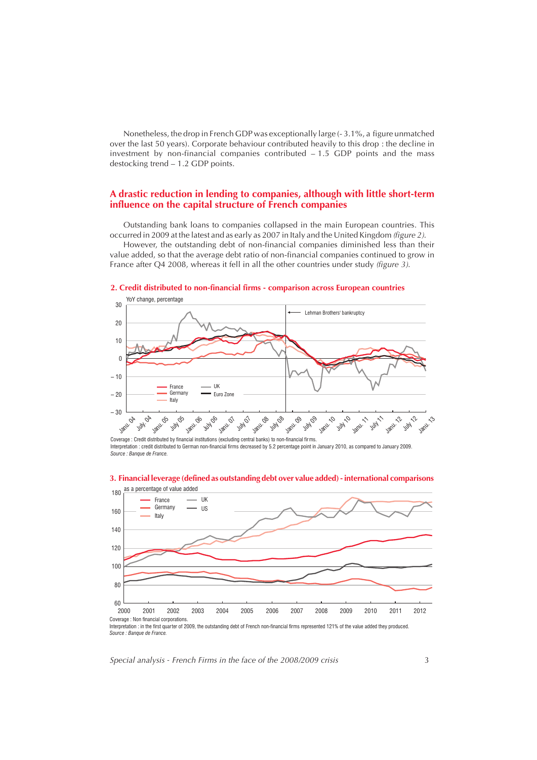Nonetheless, the drop in French GDP was exceptionally large (- 3.1%, a figure unmatched over the last 50 years). Corporate behaviour contributed heavily to this drop : the decline in investment by non-financial companies contributed – 1.5 GDP points and the mass destocking trend – 1.2 GDP points.

# **A drastic reduction in lending to companies, although with little short-term influence on the capital structure of French companies**

Outstanding bank loans to companies collapsed in the main European countries. This occurred in 2009 at the latest and as early as 2007 in Italy and the United Kingdom *(figure 2)*.

However, the outstanding debt of non-financial companies diminished less than their value added, so that the average debt ratio of non-financial companies continued to grow in France after Q4 2008, whereas it fell in all the other countries under study *(figure 3)*.



**2. Credit distributed to non-financial firms - comparison across European countries**

Coverage : Credit distributed by financial institutions (excluding central banks) to non-financial firms. Interpretation : credit distributed to German non-financial firms decreased by 5.2 percentage point in January 2010, as compared to January 2009. *Source : Banque de France.*





Interpretation : in the first quarter of 2009, the outstanding debt of French non-financial firms represented 121% of the value added they produced *Source : Banque de France.*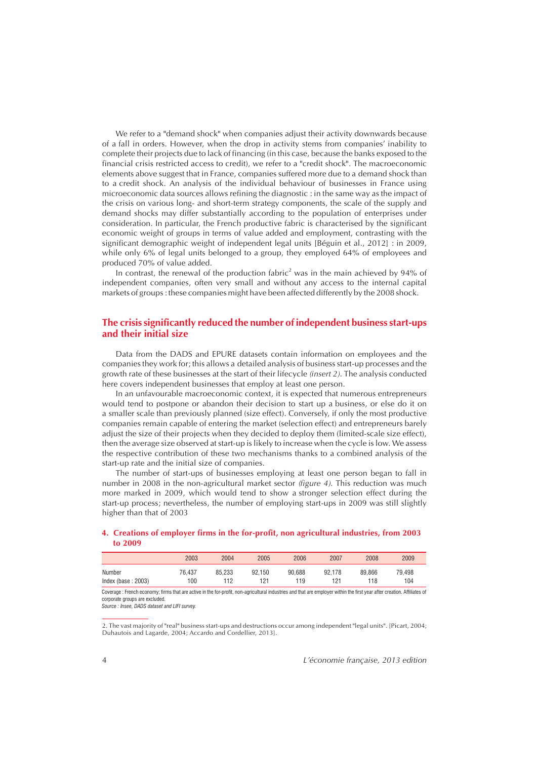We refer to a "demand shock" when companies adjust their activity downwards because of a fall in orders. However, when the drop in activity stems from companies' inability to complete their projects due to lack of financing (in this case, because the banks exposed to the financial crisis restricted access to credit), we refer to a "credit shock". The macroeconomic elements above suggest that in France, companies suffered more due to a demand shock than to a credit shock. An analysis of the individual behaviour of businesses in France using microeconomic data sources allows refining the diagnostic : in the same way as the impact of the crisis on various long- and short-term strategy components, the scale of the supply and demand shocks may differ substantially according to the population of enterprises under consideration. In particular, the French productive fabric is characterised by the significant economic weight of groups in terms of value added and employment, contrasting with the significant demographic weight of independent legal units [Béguin et al., 2012] : in 2009, while only 6% of legal units belonged to a group, they employed 64% of employees and produced 70% of value added.

In contrast, the renewal of the production fabric<sup>2</sup> was in the main achieved by 94% of independent companies, often very small and without any access to the internal capital markets of groups : these companies might have been affected differently by the 2008 shock.

# **The crisis significantly reduced the number of independent business start-ups and their initial size**

Data from the DADS and EPURE datasets contain information on employees and the companies they work for; this allows a detailed analysis of business start-up processes and the growth rate of these businesses at the start of their lifecycle *(insert 2)*. The analysis conducted here covers independent businesses that employ at least one person.

In an unfavourable macroeconomic context, it is expected that numerous entrepreneurs would tend to postpone or abandon their decision to start up a business, or else do it on a smaller scale than previously planned (size effect). Conversely, if only the most productive companies remain capable of entering the market (selection effect) and entrepreneurs barely adjust the size of their projects when they decided to deploy them (limited-scale size effect), then the average size observed at start-up is likely to increase when the cycle is low. We assess the respective contribution of these two mechanisms thanks to a combined analysis of the start-up rate and the initial size of companies.

The number of start-ups of businesses employing at least one person began to fall in number in 2008 in the non-agricultural market sector *(figure 4)*. This reduction was much more marked in 2009, which would tend to show a stronger selection effect during the start-up process; nevertheless, the number of employing start-ups in 2009 was still slightly higher than that of 2003

### **4. Creations of employer firms in the for-profit, non agricultural industries, from 2003 to 2009**

|                       | 2003   | 2004   | 2005   | 2006   | 2007   | 2008   | 2009   |
|-----------------------|--------|--------|--------|--------|--------|--------|--------|
| Number                | 76.437 | 85.233 | 92.150 | 90.688 | 92.178 | 89.866 | 79.498 |
| Index (base: $2003$ ) | 100    | 112    | 121    | 119    | 121    | 118    | 104    |

Coverage : French economy; firms that are active in the for-profit, non-agricultural industries and that are employer within the first year after creation. Affiliates of corporate groups are excluded. *Source : Insee, DADS dataset and LIFI survey.*

<sup>2.</sup> The vast majority of "real" business start-ups and destructions occur among independent "legal units". [Picart, 2004; Duhautois and Lagarde, 2004; Accardo and Cordellier, 2013].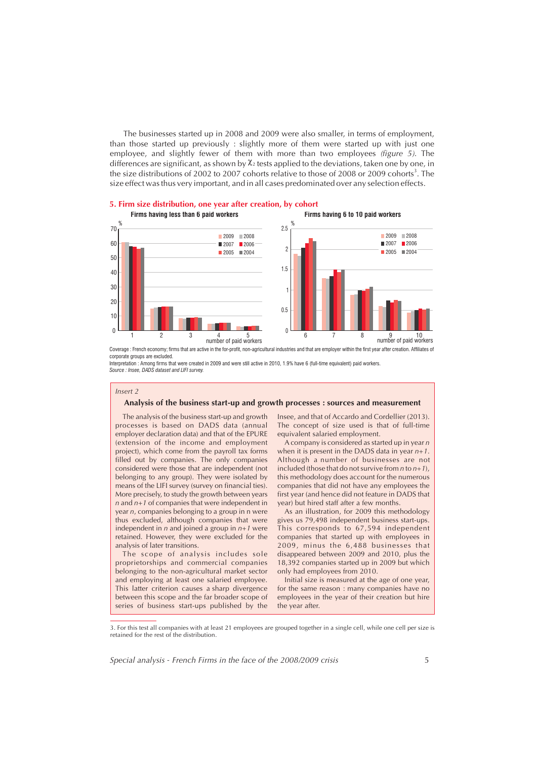The businesses started up in 2008 and 2009 were also smaller, in terms of employment, than those started up previously : slightly more of them were started up with just one employee, and slightly fewer of them with more than two employees *(figure 5)*. The differences are significant, as shown by  $\chi_2$  tests applied to the deviations, taken one by one, in the size distributions of 2002 to 2007 cohorts relative to those of 2008 or 2009 cohorts<sup>3</sup>. The size effect was thus very important, and in all cases predominated over any selection effects.



## **5. Firm size distribution, one year after creation, by cohort**

Coverage : French economy; firms that are active in the for-profit, non-agricultural industries and that are employer within the first year after creation. Affiliates of corporate groups are excluded. Interpretation : Among firms that were created in 2009 and were still active in 2010, 1.9% have 6 (full-time equivalent) paid workers.

*Source : Insee, DADS dataset and LIFI survey.*

#### *Insert 2*

#### **Analysis of the business start-up and growth processes : sources and measurement**

The analysis of the business start-up and growth processes is based on DADS data (annual employer declaration data) and that of the EPURE (extension of the income and employment project), which come from the payroll tax forms filled out by companies. The only companies considered were those that are independent (not belonging to any group). They were isolated by means of the LIFI survey (survey on financial ties). More precisely, to study the growth between years *n* and *n+1* of companies that were independent in year *n*, companies belonging to a group in n were thus excluded, although companies that were independent in *n* and joined a group in *n+1* were retained. However, they were excluded for the analysis of later transitions.

The scope of analysis includes sole proprietorships and commercial companies belonging to the non-agricultural market sector and employing at least one salaried employee. This latter criterion causes a sharp divergence between this scope and the far broader scope of series of business start-ups published by the

Insee, and that of Accardo and Cordellier (2013). The concept of size used is that of full-time equivalent salaried employment.

A company is considered as started up in year *n* when it is present in the DADS data in year *n+1*. Although a number of businesses are not included (those that do not survive from *n* to *n+1*), this methodology does account for the numerous companies that did not have any employees the first year (and hence did not feature in DADS that year) but hired staff after a few months.

As an illustration, for 2009 this methodology gives us 79,498 independent business start-ups. This corresponds to 67,594 independent companies that started up with employees in 2009, minus the 6,488 businesses that disappeared between 2009 and 2010, plus the 18,392 companies started up in 2009 but which only had employees from 2010.

Initial size is measured at the age of one year, for the same reason : many companies have no employees in the year of their creation but hire the year after.

<sup>3.</sup> For this test all companies with at least 21 employees are grouped together in a single cell, while one cell per size is retained for the rest of the distribution.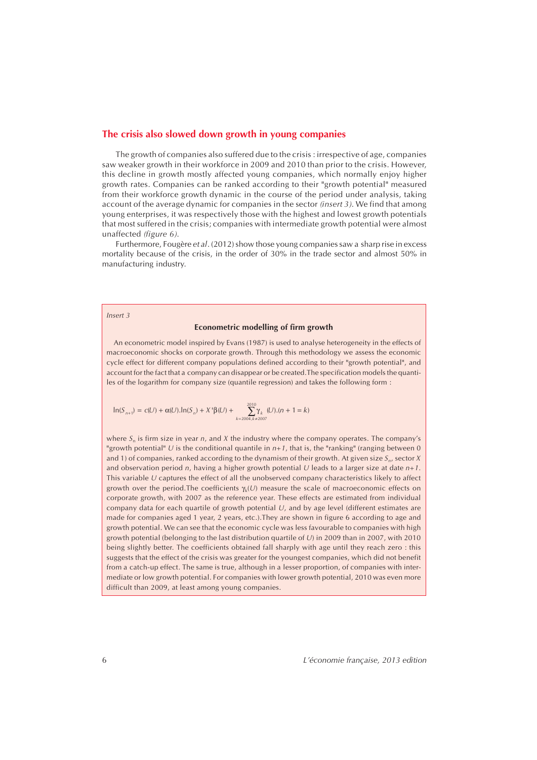# **The crisis also slowed down growth in young companies**

The growth of companies also suffered due to the crisis : irrespective of age, companies saw weaker growth in their workforce in 2009 and 2010 than prior to the crisis. However, this decline in growth mostly affected young companies, which normally enjoy higher growth rates. Companies can be ranked according to their "growth potential" measured from their workforce growth dynamic in the course of the period under analysis, taking account of the average dynamic for companies in the sector *(insert 3)*. We find that among young enterprises, it was respectively those with the highest and lowest growth potentials that most suffered in the crisis; companies with intermediate growth potential were almost unaffected *(figure 6)*.

Furthermore, Fougère *et al*. (2012) show those young companies saw a sharp rise in excess mortality because of the crisis, in the order of 30% in the trade sector and almost 50% in manufacturing industry.

#### *Insert 3*

#### **Econometric modelling of firm growth**

An econometric model inspired by Evans (1987) is used to analyse heterogeneity in the effects of macroeconomic shocks on corporate growth. Through this methodology we assess the economic cycle effect for different company populations defined according to their "growth potential", and account for the fact that a company can disappear or be created.The specification models the quantiles of the logarithm for company size (quantile regression) and takes the following form :

$$
\textstyle \ln(S_{n+1}) = c(U) + \alpha(U).\ln(S_n) + X^{\text{\rm\tiny l}}\beta(U) + \sum_{k=2004, k\neq 2007}^{2010} \gamma_k(U).(n+1=k)
$$

where  $S_n$  is firm size in year *n*, and *X* the industry where the company operates. The company's "growth potential" *U* is the conditional quantile in *n+1*, that is, the "ranking" (ranging between 0 and 1) of companies, ranked according to the dynamism of their growth. At given size  $S_n$ , sector  $X$ and observation period *n*, having a higher growth potential *U* leads to a larger size at date *n+1*. This variable *U* captures the effect of all the unobserved company characteristics likely to affect growth over the period.The coefficients  $\gamma_k(U)$  measure the scale of macroeconomic effects on corporate growth, with 2007 as the reference year. These effects are estimated from individual company data for each quartile of growth potential *U*, and by age level (different estimates are made for companies aged 1 year, 2 years, etc.).They are shown in figure 6 according to age and growth potential. We can see that the economic cycle was less favourable to companies with high growth potential (belonging to the last distribution quartile of *U*) in 2009 than in 2007, with 2010 being slightly better. The coefficients obtained fall sharply with age until they reach zero : this suggests that the effect of the crisis was greater for the youngest companies, which did not benefit from a catch-up effect. The same is true, although in a lesser proportion, of companies with intermediate or low growth potential. For companies with lower growth potential, 2010 was even more difficult than 2009, at least among young companies.

6 *L'économie française, 2013 edition*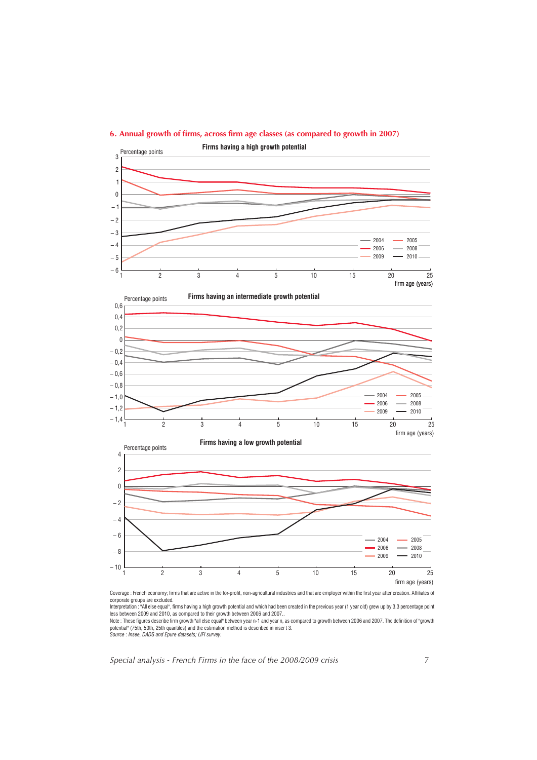

### **6. Annual growth of firms, across firm age classes (as compared to growth in 2007)**

Coverage : French economy; firms that are active in the for-profit, non-agricultural industries and that are employer within the first year after creation. Affiliates of corporate groups are excluded.

potential" (75th, 50th, 25th quantiles) and the estimation method is described in inser t 3. *Source : Insee, DADS and Epure datasets; LIFI survey.*

Interpretation : "All else equal", firms having a high growth potential and which had been created in the previous year (1 year old) grew up by 3.3 percentage point<br>less between 2009 and 2010, as compared to their growth b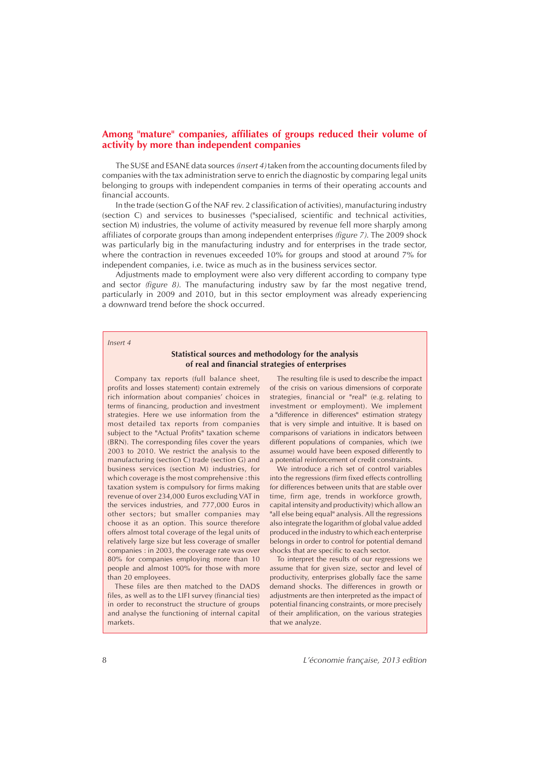# **Among "mature" companies, affiliates of groups reduced their volume of activity by more than independent companies**

The SUSE and ESANE data sources*(insert 4)*taken from the accounting documents filed by companies with the tax administration serve to enrich the diagnostic by comparing legal units belonging to groups with independent companies in terms of their operating accounts and financial accounts.

In the trade (section G of the NAF rev. 2 classification of activities), manufacturing industry (section C) and services to businesses ("specialised, scientific and technical activities, section M) industries, the volume of activity measured by revenue fell more sharply among affiliates of corporate groups than among independent enterprises *(figure 7)*. The 2009 shock was particularly big in the manufacturing industry and for enterprises in the trade sector, where the contraction in revenues exceeded 10% for groups and stood at around 7% for independent companies, i.e. twice as much as in the business services sector.

Adjustments made to employment were also very different according to company type and sector *(figure 8)*. The manufacturing industry saw by far the most negative trend, particularly in 2009 and 2010, but in this sector employment was already experiencing a downward trend before the shock occurred.

#### *Insert 4*

### **Statistical sources and methodology for the analysis of real and financial strategies of enterprises**

Company tax reports (full balance sheet, profits and losses statement) contain extremely rich information about companies' choices in terms of financing, production and investment strategies. Here we use information from the most detailed tax reports from companies subject to the "Actual Profits" taxation scheme (BRN). The corresponding files cover the years 2003 to 2010. We restrict the analysis to the manufacturing (section C) trade (section G) and business services (section M) industries, for which coverage is the most comprehensive : this taxation system is compulsory for firms making revenue of over 234,000 Euros excluding VAT in the services industries, and 777,000 Euros in other sectors; but smaller companies may choose it as an option. This source therefore offers almost total coverage of the legal units of relatively large size but less coverage of smaller companies : in 2003, the coverage rate was over 80% for companies employing more than 10 people and almost 100% for those with more than 20 employees.

These files are then matched to the DADS files, as well as to the LIFI survey (financial ties) in order to reconstruct the structure of groups and analyse the functioning of internal capital markets.

The resulting file is used to describe the impact of the crisis on various dimensions of corporate strategies, financial or "real" (e.g. relating to investment or employment). We implement a "difference in differences" estimation strategy that is very simple and intuitive. It is based on comparisons of variations in indicators between different populations of companies, which (we assume) would have been exposed differently to a potential reinforcement of credit constraints.

We introduce a rich set of control variables into the regressions (firm fixed effects controlling for differences between units that are stable over time, firm age, trends in workforce growth, capital intensity and productivity) which allow an "all else being equal" analysis. All the regressions also integrate the logarithm of global value added produced in the industry to which each enterprise belongs in order to control for potential demand shocks that are specific to each sector.

To interpret the results of our regressions we assume that for given size, sector and level of productivity, enterprises globally face the same demand shocks. The differences in growth or adjustments are then interpreted as the impact of potential financing constraints, or more precisely of their amplification, on the various strategies that we analyze.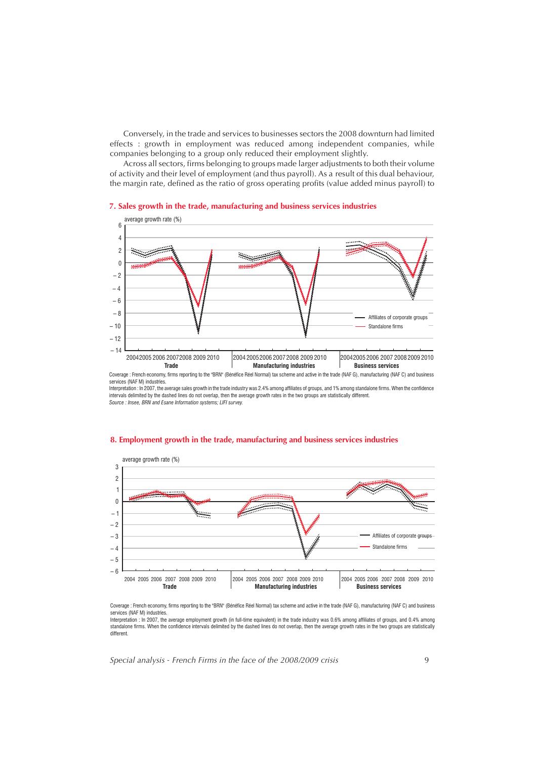Conversely, in the trade and services to businesses sectors the 2008 downturn had limited effects : growth in employment was reduced among independent companies, while companies belonging to a group only reduced their employment slightly.

Across all sectors, firms belonging to groups made larger adjustments to both their volume of activity and their level of employment (and thus payroll). As a result of this dual behaviour, the margin rate, defined as the ratio of gross operating profits (value added minus payroll) to



## **7. Sales growth in the trade, manufacturing and business services industries**

services (NAF M) industries. Interpretation : In 2007, the average sales growth in the trade industry was 2.4% among affiliates of groups, and 1% among standalone firms. When the confidence intervals delimited by the dashed lines do not overlap, then the average growth rates in the two groups are statistically different.

*Source : Insee, BRN and Esane Information systems; LIFI survey.*



#### **8. Employment growth in the trade, manufacturing and business services industries**

Coverage : French economy, firms reporting to the "BRN" (Bénéfice Réel Normal) tax scheme and active in the trade (NAF G), manufacturing (NAF C) and business services (NAF M) industrie

Interpretation : In 2007, the average employment growth (in full-time equivalent) in the trade industry was 0.6% among affiliates of groups, and 0.4% among standalone firms. When the confidence intervals delimited by the dashed lines do not overlap, then the average growth rates in the two groups are statistically different.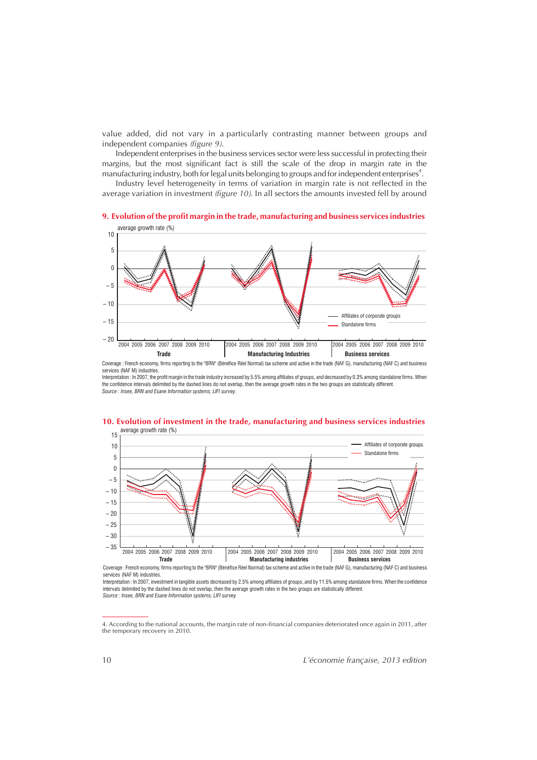value added, did not vary in a particularly contrasting manner between groups and independent companies *(figure 9)*.

Independent enterprises in the business servicessector were less successful in protecting their margins, but the most significant fact is still the scale of the drop in margin rate in the manufacturing industry, both for legal units belonging to groups and for independent enterprises $^4$ .

Industry level heterogeneity in terms of variation in margin rate is not reflected in the average variation in investment *(figure 10)*. In all sectors the amounts invested fell by around

#### **9. Evolution of the profit margin in the trade, manufacturing and business services industries**



services (NAF M) industries.

Interpretation : In 2007, the profit margin in the trade industry increased by 5.5% among affiliates of groups, and decreased by 0.3% among standalone firms. When the confidence intervals delimited by the dashed lines do not overlap, then the average growth rates in the two groups are statistically different. *Source : Insee, BRN and Esane Information systems; LIFI survey.*



#### average growth rate (%) **10. Evolution of investment in the trade, manufacturing and business services industries**

Coverage : French economy, firms reporting to the "BRN" (Bénéfice Réel Normal) tax scheme and active in the trade (NAF G), manufacturing (NAF C) and business services (NAF M) industries. Interpretation : In 2007, investment in tangible assets decreased by 2.5% among affiliates of groups, and by 11.5% among standalone firms. When the confidence

intervals delimited by the dashed lines do not overlap, then the average growth rates in the two groups are statistically different. *Source : Insee, BRN and Esane Information systems; LIFI survey.*

<sup>4.</sup> According to the national accounts, the margin rate of non-financial companies deteriorated once again in 2011, after the temporary recovery in 2010.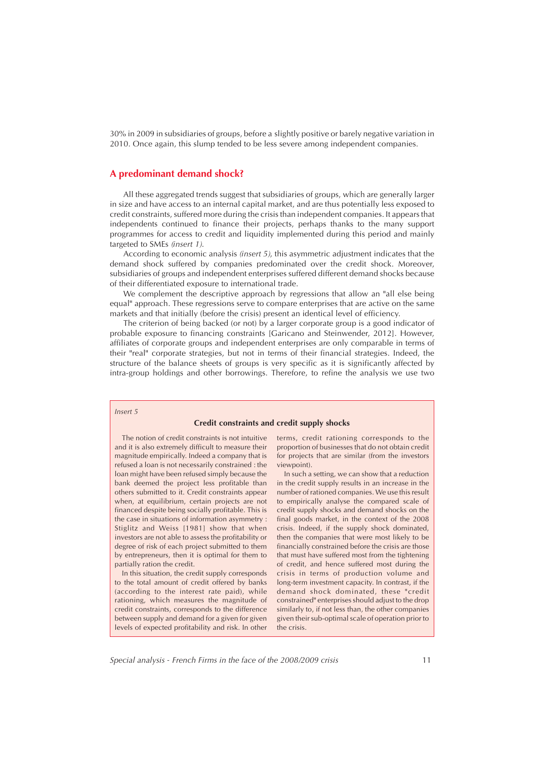30% in 2009 in subsidiaries of groups, before a slightly positive or barely negative variation in 2010. Once again, this slump tended to be less severe among independent companies.

# **A predominant demand shock?**

All these aggregated trends suggest that subsidiaries of groups, which are generally larger in size and have access to an internal capital market, and are thus potentially less exposed to credit constraints, suffered more during the crisis than independent companies. It appears that independents continued to finance their projects, perhaps thanks to the many support programmes for access to credit and liquidity implemented during this period and mainly targeted to SMEs *(insert 1)*.

According to economic analysis *(insert 5)*, this asymmetric adjustment indicates that the demand shock suffered by companies predominated over the credit shock. Moreover, subsidiaries of groups and independent enterprises suffered different demand shocks because of their differentiated exposure to international trade.

We complement the descriptive approach by regressions that allow an "all else being equal" approach. These regressions serve to compare enterprises that are active on the same markets and that initially (before the crisis) present an identical level of efficiency.

The criterion of being backed (or not) by a larger corporate group is a good indicator of probable exposure to financing constraints [Garicano and Steinwender, 2012]. However, affiliates of corporate groups and independent enterprises are only comparable in terms of their "real" corporate strategies, but not in terms of their financial strategies. Indeed, the structure of the balance sheets of groups is very specific as it is significantly affected by intra-group holdings and other borrowings. Therefore, to refine the analysis we use two

# *Insert 5*

#### **Credit constraints and credit supply shocks**

The notion of credit constraints is not intuitive and it is also extremely difficult to measure their magnitude empirically. Indeed a company that is refused a loan is not necessarily constrained : the loan might have been refused simply because the bank deemed the project less profitable than others submitted to it. Credit constraints appear when, at equilibrium, certain projects are not financed despite being socially profitable. This is the case in situations of information asymmetry : Stiglitz and Weiss [1981] show that when investors are not able to assess the profitability or degree of risk of each project submitted to them by entrepreneurs, then it is optimal for them to partially ration the credit.

In this situation, the credit supply corresponds to the total amount of credit offered by banks (according to the interest rate paid), while rationing, which measures the magnitude of credit constraints, corresponds to the difference between supply and demand for a given for given levels of expected profitability and risk. In other

terms, credit rationing corresponds to the proportion of businesses that do not obtain credit for projects that are similar (from the investors viewpoint).

In such a setting, we can show that a reduction in the credit supply results in an increase in the number of rationed companies. We use this result to empirically analyse the compared scale of credit supply shocks and demand shocks on the final goods market, in the context of the 2008 crisis. Indeed, if the supply shock dominated, then the companies that were most likely to be financially constrained before the crisis are those that must have suffered most from the tightening of credit, and hence suffered most during the crisis in terms of production volume and long-term investment capacity. In contrast, if the demand shock dominated, these "credit constrained" enterprises should adjust to the drop similarly to, if not less than, the other companies given their sub-optimal scale of operation prior to the crisis.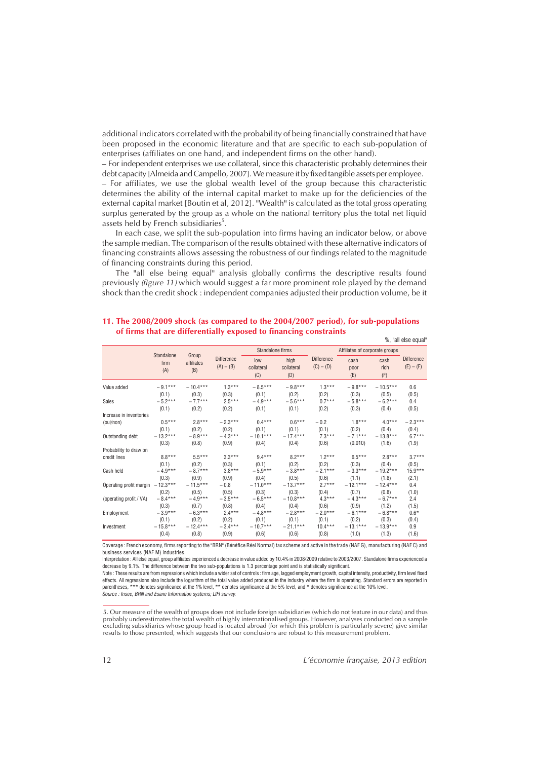additional indicators correlated with the probability of being financially constrained that have been proposed in the economic literature and that are specific to each sub-population of enterprises (affiliates on one hand, and independent firms on the other hand).

– For independent enterprises we use collateral, since this characteristic probably determines their debt capacity [Almeida and Campello, 2007]. We measure it by fixed tangible assets per employee.

– For affiliates, we use the global wealth level of the group because this characteristic determines the ability of the internal capital market to make up for the deficiencies of the external capital market [Boutin et al, 2012]. "Wealth" is calculated as the total gross operating surplus generated by the group as a whole on the national territory plus the total net liquid assets held by French subsidiaries<sup>5</sup>.

In each case, we split the sub-population into firms having an indicator below, or above the sample median. The comparison of the results obtained with these alternative indicators of financing constraints allows assessing the robustness of our findings related to the magnitude of financing constraints during this period.

The "all else being equal" analysis globally confirms the descriptive results found previously *(figure 11)*which would suggest a far more prominent role played by the demand shock than the credit shock : independent companies adjusted their production volume, be it

|                         | 70, all GISC Cyual           |                              |                                  |                              |                              |                                  |                                |                              |                                  |
|-------------------------|------------------------------|------------------------------|----------------------------------|------------------------------|------------------------------|----------------------------------|--------------------------------|------------------------------|----------------------------------|
|                         | Standalone<br>firm<br>(A)    | Group<br>affiliates<br>(B)   | <b>Difference</b><br>$(A) - (B)$ | Standalone firms             |                              |                                  | Affiliates of corporate groups |                              |                                  |
|                         |                              |                              |                                  | low<br>collateral<br>(C)     | high<br>collateral<br>(D)    | <b>Difference</b><br>$(C) - (D)$ | cash<br>poor<br>(E)            | cash<br>rich<br>(F)          | <b>Difference</b><br>$(E) - (F)$ |
| Value added             | $-9.1***$<br>(0.1)           | $-10.4***$<br>(0.3)          | $1.3***$<br>(0.3)                | $-8.5***$<br>(0.1)           | $-9.8***$<br>(0.2)           | $1.3***$<br>(0.2)                | $-9.8***$<br>(0.3)             | $-10.5***$<br>(0.5)          | 0.6<br>(0.5)                     |
| Sales                   | $-5.2***$<br>(0.1)           | $-7.7***$<br>(0.2)           | $2.5***$<br>(0.2)                | $-4.9***$<br>(0.1)           | $-5.6***$<br>(0.1)           | $0.7***$<br>(0.2)                | $-5.8***$<br>(0.3)             | $-6.2***$<br>(0.4)           | 0.4<br>(0.5)                     |
| Increase in inventories |                              |                              |                                  |                              |                              |                                  |                                |                              |                                  |
| (oui/non)               | $0.5***$<br>(0.1)            | $2.8***$                     | $-2.3***$                        | $0.4***$                     | $0.6***$<br>(0.1)            | $-0.2$                           | $1.8***$                       | $4.0***$<br>(0.4)            | $-2.3***$                        |
| Outstanding debt        | $-13.2***$                   | (0.2)<br>$-8.9***$           | (0.2)<br>$-4.3***$               | (0.1)<br>$-10.1***$          | $-17.4***$                   | (0.1)<br>$7.3***$                | (0.2)<br>$-7.1***$             | $-13.8***$                   | (0.4)<br>$6.7***$                |
|                         | (0.3)                        | (0.8)                        | (0.9)                            | (0.4)                        | (0.4)                        | (0.6)                            | (0.010)                        | (1.6)                        | (1.9)                            |
| Probability to draw on  |                              |                              |                                  |                              |                              |                                  |                                |                              |                                  |
| credit lines            | $8.8***$                     | $5.5***$                     | $3.3***$                         | $9.4***$                     | $8.2***$                     | $1.2***$                         | $6.5***$                       | $2.8***$                     | $3.7***$                         |
| Cash held               | (0.1)<br>$-4.9***$           | (0.2)<br>$-8.7***$           | (0.3)<br>$3.8***$                | (0.1)<br>$-5.9***$           | (0.2)<br>$-3.8***$           | (0.2)<br>$-2.1***$               | (0.3)<br>$-3.3***$             | (0.4)<br>$-19.2***$          | (0.5)<br>$15.9***$               |
| Operating profit margin | (0.3)<br>$-12.3***$          | (0.9)<br>$-11.5***$          | (0.9)<br>$-0.8$                  | (0.4)<br>$-11.0***$          | (0.5)<br>$-13.7***$          | (0.6)<br>$2.7***$                | (1.1)<br>$-12.1***$            | (1.8)<br>$-12.4***$          | (2.1)<br>0.4                     |
| (operating profit / VA) | (0.2)<br>$-8.4***$           | (0.5)<br>$-4.9***$           | (0.5)<br>$-3.5***$               | (0.3)<br>$-6.5***$           | (0.3)<br>$-10.8***$          | (0.4)<br>$4.3***$                | (0.7)<br>$-4.3***$             | (0.8)<br>$-6.7***$           | (1.0)<br>2.4                     |
| Employment              | (0.3)<br>$-3.9***$           | (0.7)<br>$-6.3***$           | (0.8)<br>$2.4***$                | (0.4)<br>$-4.8***$           | (0.4)<br>$-2.8***$           | (0.6)<br>$-2.0***$               | (0.9)<br>$-6.1***$             | (1.2)<br>$-6.8***$           | (1.5)<br>$0.6*$                  |
| Investment              | (0.1)<br>$-15.8***$<br>(0.4) | (0.2)<br>$-12.4***$<br>(0.8) | (0.2)<br>$-3.4***$<br>(0.9)      | (0.1)<br>$-10.7***$<br>(0.6) | (0.1)<br>$-21.1***$<br>(0.6) | (0.1)<br>$10.4***$<br>(0.8)      | (0.2)<br>$-13.1***$<br>(1.0)   | (0.3)<br>$-13.9***$<br>(1.3) | (0.4)<br>0.9<br>(1.6)            |
|                         |                              |                              |                                  |                              |                              |                                  |                                |                              |                                  |

#### **11. The 2008/2009 shock (as compared to the 2004/2007 period), for sub-populations of firms that are differentially exposed to financing constraints** %, "all else equal"

Coverage : French economy, firms reporting to the "BRN" (Bénéfice Réel Normal) tax scheme and active in the trade (NAF G), manufacturing (NAF C) and business services (NAF M) industries.

Interpretation : All else equal, group affiliates experienced a decrease in value added by 10.4% in 2008/2009 relative to 2003/2007. Standalone firms experienced a decrease by 9.1%. The difference between the two sub-populations is 1.3 percentage point and is statistically significant.

Note : These results are from regressions which include a wider set of controls : firm age, lagged employment growth, capital intensity, productivity, firm level fixed effects. All regressions also include the logarithm of the total value added produced in the industry where the firm is operating. Standard errors are reported in parentheses, \*\*\* denotes significance at the 1% level, \*\* denotes significance at the 5% level, and \* denotes significance at the 10% level.

*Source : Insee, BRN and Esane Information systems; LIFI survey.*

<sup>5.</sup> Our measure of the wealth of groups does not include foreign subsidiaries (which do not feature in our data) and thus probably underestimates the total wealth of highly internationalised groups. However, analyses conducted on a sample excluding subsidiaries whose group head is located abroad (for which this problem is particularly severe) give similar results to those presented, which suggests that our conclusions are robust to this measurement problem.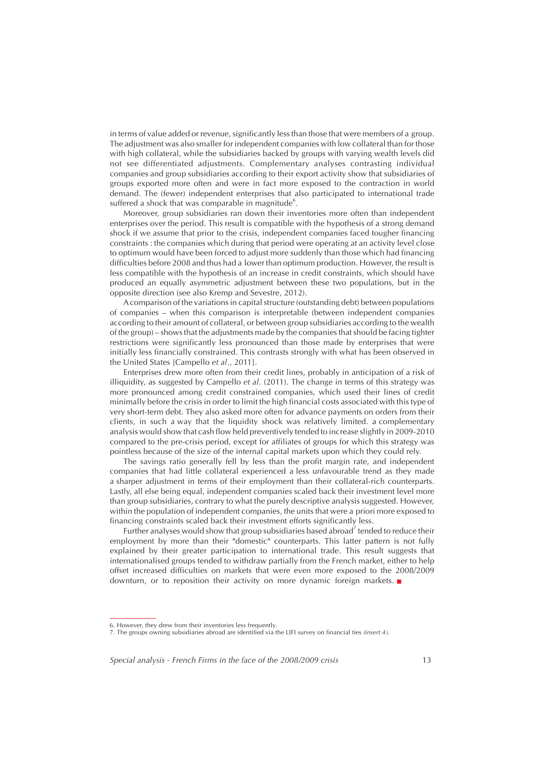in terms of value added or revenue, significantly less than those that were members of a group. The adjustment was also smaller for independent companies with low collateral than for those with high collateral, while the subsidiaries backed by groups with varying wealth levels did not see differentiated adjustments. Complementary analyses contrasting individual companies and group subsidiaries according to their export activity show that subsidiaries of groups exported more often and were in fact more exposed to the contraction in world demand. The (fewer) independent enterprises that also participated to international trade suffered a shock that was comparable in magnitude<sup>6</sup>.

Moreover, group subsidiaries ran down their inventories more often than independent enterprises over the period. This result is compatible with the hypothesis of a strong demand shock if we assume that prior to the crisis, independent companies faced tougher financing constraints : the companies which during that period were operating at an activity level close to optimum would have been forced to adjust more suddenly than those which had financing difficulties before 2008 and thus had a lower than optimum production. However, the result is less compatible with the hypothesis of an increase in credit constraints, which should have produced an equally asymmetric adjustment between these two populations, but in the opposite direction (see also Kremp and Sevestre, 2012).

Acomparison of the variations in capital structure (outstanding debt) between populations of companies – when this comparison is interpretable (between independent companies according to their amount of collateral, or between group subsidiaries according to the wealth of the group) – shows that the adjustments made by the companies that should be facing tighter restrictions were significantly less pronounced than those made by enterprises that were initially less financially constrained. This contrasts strongly with what has been observed in the United States [Campello *et al*., 2011].

Enterprises drew more often from their credit lines, probably in anticipation of a risk of illiquidity, as suggested by Campello *et al*. (2011). The change in terms of this strategy was more pronounced among credit constrained companies, which used their lines of credit minimally before the crisis in order to limit the high financial costs associated with this type of very short-term debt. They also asked more often for advance payments on orders from their clients, in such a way that the liquidity shock was relatively limited. a complementary analysis would show that cash flow held preventively tended to increase slightly in 2009-2010 compared to the pre-crisis period, except for affiliates of groups for which this strategy was pointless because of the size of the internal capital markets upon which they could rely.

The savings ratio generally fell by less than the profit margin rate, and independent companies that had little collateral experienced a less unfavourable trend as they made a sharper adjustment in terms of their employment than their collateral-rich counterparts. Lastly, all else being equal, independent companies scaled back their investment level more than group subsidiaries, contrary to what the purely descriptive analysis suggested. However, within the population of independent companies, the units that were a priori more exposed to financing constraints scaled back their investment efforts significantly less.

Further analyses would show that group subsidiaries based abroad<sup>7</sup> tended to reduce their employment by more than their "domestic" counterparts. This latter pattern is not fully explained by their greater participation to international trade. This result suggests that internationalised groups tended to withdraw partially from the French market, either to help offset increased difficulties on markets that were even more exposed to the 2008/2009 downturn, or to reposition their activity on more dynamic foreign markets.

<sup>6.</sup> However, they drew from their inventories less frequently.

<sup>7.</sup> The groups owning subsidiaries abroad are identified via the LIFI survey on financial ties *(insert 4)*.